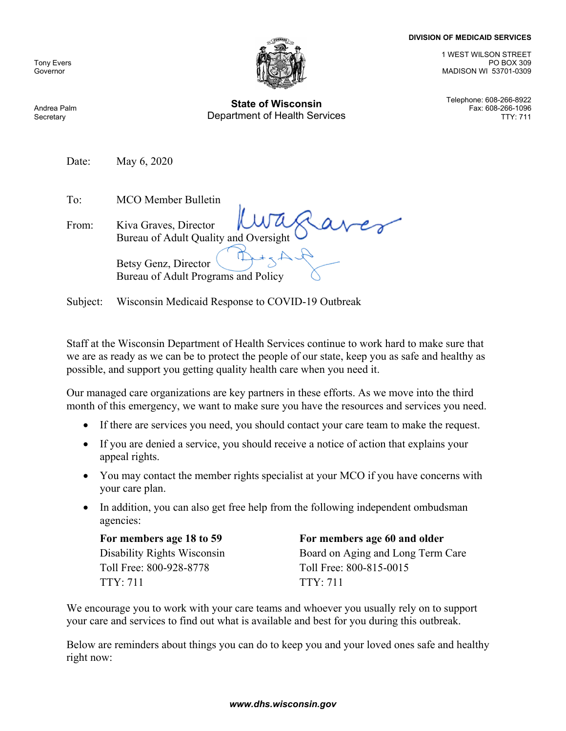## **DIVISION OF MEDICAID SERVICES**

Tony Evers Governor



**State of Wisconsin** Telephone: 608-266-8922 Department of Health Services

1 WEST WILSON STREET PO BOX 309 MADISON WI 53701-0309

Fax: 608-266-1096

Andrea Palm **Secretary** 

Date: May 6, 2020

To: MCO Member Bulletin

| From: | Avec July 2018                                              |
|-------|-------------------------------------------------------------|
|       | Betsy Genz, Director<br>Bureau of Adult Programs and Policy |

Subject: Wisconsin Medicaid Response to COVID-19 Outbreak

Staff at the Wisconsin Department of Health Services continue to work hard to make sure that we are as ready as we can be to protect the people of our state, keep you as safe and healthy as possible, and support you getting quality health care when you need it.

Our managed care organizations are key partners in these efforts. As we move into the third month of this emergency, we want to make sure you have the resources and services you need.

- If there are services you need, you should contact your care team to make the request.
- If you are denied a service, you should receive a notice of action that explains your appeal rights.
- You may contact the member rights specialist at your MCO if you have concerns with your care plan.
- In addition, you can also get free help from the following independent ombudsman agencies:

For members age 18 to 59 For members age 60 and older Toll Free: 800-928-8778 Toll Free: 800-815-0015 TTY: 711 TTY: 711

Disability Rights Wisconsin Board on Aging and Long Term Care

We encourage you to work with your care teams and whoever you usually rely on to support your care and services to find out what is available and best for you during this outbreak.

Below are reminders about things you can do to keep you and your loved ones safe and healthy right now:

## *www.dhs.wisconsin.gov*